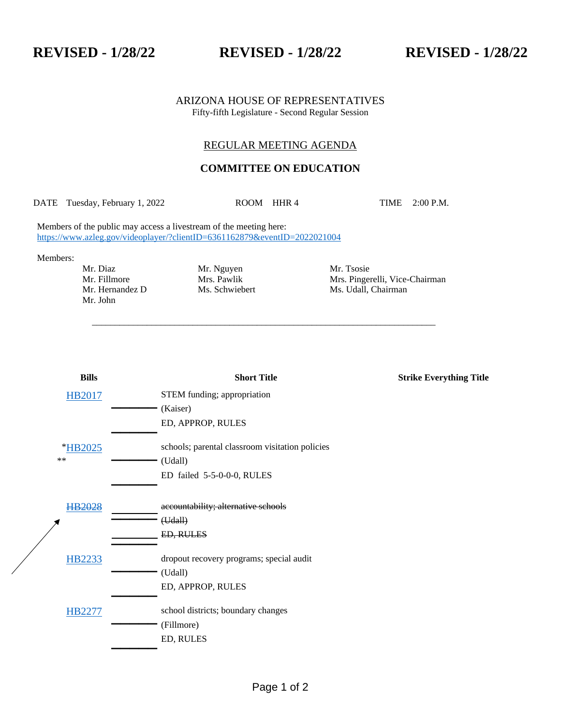**REVISED - 1/28/22 REVISED - 1/28/22 REVISED - 1/28/22**

#### ARIZONA HOUSE OF REPRESENTATIVES Fifty-fifth Legislature - Second Regular Session

## REGULAR MEETING AGENDA

# **COMMITTEE ON EDUCATION**

DATE Tuesday, February 1, 2022 ROOM HHR 4 TIME 2:00 P.M.

\_\_\_\_\_\_\_\_\_\_\_\_\_\_\_\_\_\_\_\_\_\_\_\_\_\_\_\_\_\_\_\_\_\_\_\_\_\_\_\_\_\_\_\_\_\_\_\_\_\_\_\_\_\_\_\_\_\_\_\_\_\_\_\_\_\_\_\_\_\_\_\_\_\_\_

Members of the public may access a livestream of the meeting here: <https://www.azleg.gov/videoplayer/?clientID=6361162879&eventID=2022021004>

Members:

Mr. John

Mr. Diaz Mr. Nguyen Mr. Tsosie

Mr. Fillmore Mrs. Pawlik Mrs. Pingerelli, Vice-Chairman Mr. Hernandez D Ms. Schwiebert Ms. Udall, Chairman Ms. Schwiebert Ms. Udall, Chairman

| <b>Bills</b>  | <b>Short Title</b>                              | <b>Strike Everything Title</b> |
|---------------|-------------------------------------------------|--------------------------------|
| <b>HB2017</b> | STEM funding; appropriation                     |                                |
|               | (Kaiser)                                        |                                |
|               | ED, APPROP, RULES                               |                                |
| *HB2025       | schools; parental classroom visitation policies |                                |
| $\ast\ast$    | (Udall)                                         |                                |
|               | ED failed 5-5-0-0-0, RULES                      |                                |
| HB2028        | accountability; alternative schools             |                                |
|               | (Hdall)                                         |                                |
|               | ED, RULES                                       |                                |
| <b>HB2233</b> | dropout recovery programs; special audit        |                                |
|               | (Udall)                                         |                                |
|               | ED, APPROP, RULES                               |                                |
| HB2277        | school districts; boundary changes              |                                |
|               | (Fillmore)                                      |                                |
|               | ED, RULES                                       |                                |
|               |                                                 |                                |